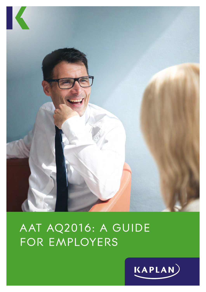

# AAT AQ2016: A GUIDE FOR EMPLOYERS

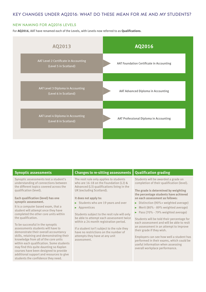### KEY CHANGES UNDER AQ2016: WHAT DO THESE MEAN FOR ME AND MY STUDENTS?

#### NEW NAMING FOR AQ2016 LEVELS

For **AQ2016**, AAT have renamed each of the Levels, with Levels now referred to as **Qualifications**.



| Synoptic assessments test a student's<br>The resit rule only applies to students<br>Students will be awarded a grade on<br>understanding of connections between<br>who are 16-18 on the Foundation (L2) &<br>completion of their qualification (level).<br>the different topics covered across the<br>Advanced (L3) qualifications living in the<br>qualification (level).<br>UK (excluding Scotland).<br>The grade is determined by weighting<br>the percentage students have achieved<br>on each assessment as follows:<br>Each qualification (level) has one<br>It does not apply to:<br>synoptic assessment.<br>$\triangleright$ Students who are 19 years and over<br>$\triangleright$ Distinction (90%+ weighted average)<br>It is a computer based exam, that a<br>Merit (80% - 89% weighted average)<br>$\blacktriangleright$ Apprentices<br>×.<br>student will attempt once they have<br>Pass (70% - 79% weighted average)<br>completed the other core units within<br>Students subject to the resit rule will only<br>the qualification.<br>be able to attempt each assessment twice<br>Students will be told their percentage for<br>within a 24 month registration period.<br>each assessment and will be able to resit<br>To be successful in the synoptic<br>an assessment in an attempt to improve<br>assessments students will have to<br>If a student isn't subject to the rule they<br>their grade if they wish.<br>demonstrate their overall accountancy<br>have no restrictions on the number of<br>skills, retaining and demonstrating their<br>attempts they have at any unit<br>Employers can see how well a student has<br>knowledge from all of the core units<br>assessment.<br>performed in their exams, which could be<br>within each qualification. Some students<br>useful information when assessing<br>may find this quite daunting so Kaplan<br>overall workplace performance.<br>courses have been designed to provide<br>additional support and resources to give<br>students the confidence they need. | <b>Synoptic assessments</b> | <b>Changes to re-sitting assessments</b> | <b>Qualification grading</b> |
|--------------------------------------------------------------------------------------------------------------------------------------------------------------------------------------------------------------------------------------------------------------------------------------------------------------------------------------------------------------------------------------------------------------------------------------------------------------------------------------------------------------------------------------------------------------------------------------------------------------------------------------------------------------------------------------------------------------------------------------------------------------------------------------------------------------------------------------------------------------------------------------------------------------------------------------------------------------------------------------------------------------------------------------------------------------------------------------------------------------------------------------------------------------------------------------------------------------------------------------------------------------------------------------------------------------------------------------------------------------------------------------------------------------------------------------------------------------------------------------------------------------------------------------------------------------------------------------------------------------------------------------------------------------------------------------------------------------------------------------------------------------------------------------------------------------------------------------------------------------------------------------------------------------------------------------------------------------------------------------------------------------------------------------------|-----------------------------|------------------------------------------|------------------------------|
|                                                                                                                                                                                                                                                                                                                                                                                                                                                                                                                                                                                                                                                                                                                                                                                                                                                                                                                                                                                                                                                                                                                                                                                                                                                                                                                                                                                                                                                                                                                                                                                                                                                                                                                                                                                                                                                                                                                                                                                                                                            |                             |                                          |                              |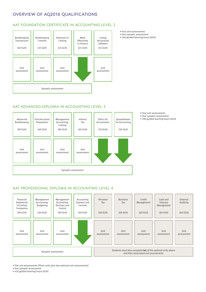## OVERVIEW OF AQ2016 QUALIFICATIONS

#### AAT FOUNDATION CERTIFICATE IN ACCOUNTING LEVEL 2



- Four unit assessments
- One synoptic assessment
- 240 guided learning hours (GLH)

#### AAT ADVANCED DIPLOMA IN ACCOUNTING LEVEL 3

| Advanced<br>Bookkeeping<br>$(90$ GLH $)$ | <b>Final Accounts</b><br>Preparation<br>$(60$ GLH $)$ | Management<br>Accounting:<br>Costing<br>$(80$ GLH $)$ | Indirect<br>Tax<br>$(60$ GLH $)$ | Ethics for<br>Accountants<br>$(50$ GLH $)$ | Spreadsheets<br>for Accounting<br>$(50$ GLH $)$ |  |
|------------------------------------------|-------------------------------------------------------|-------------------------------------------------------|----------------------------------|--------------------------------------------|-------------------------------------------------|--|
| Unit<br>assessment                       | Unit<br>assessment                                    | Unit<br>assessment                                    | Unit<br>assessment               |                                            |                                                 |  |
| Synoptic assessment                      |                                                       |                                                       |                                  |                                            |                                                 |  |

- Four unit assessments
- One synoptic assessment • 390 guided learning hours (GLH)

#### AAT PROFESSIONAL DIPLOMA IN ACCOUNTING LEVEL 4



• Five unit assessments (Three units plus two optional unit assessments)

• One synoptic assessment

• 420 guided learning hours (GLH)